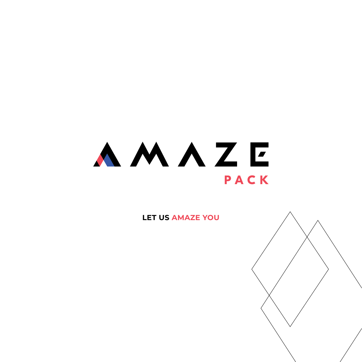### AMAZE PACK

**let us amaze you**

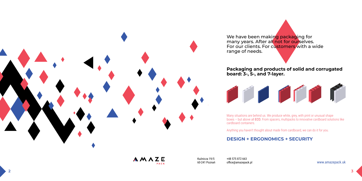Kuźnicza 19/5 60-241 Poznań +48 575 872 663 office@amazepack.pl www.amazepack.uk



We have been making packaging for many years. After all not for ourselves. range of needs.





#### **Packaging and products of solid and corrugated board: 3-, 5-, and 7-layer.**



Many situations are behind us. We produce white, grey, with print or unusual shape boxes – but above all ECO. From spacers, multipacks to innovative cardboard solutions like cardboard containers.

Anything you haven't thought about made from cardboard, we can do it for you.

### **DESIGN + ERGONOMICS + SECURITY**

AMAZE PACK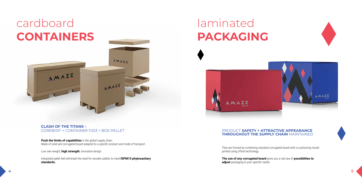



# laminated **packaging**



### **CLASH OF THE TITANS** =<br>COREBOX® + CONTAINER F203 + BOX PALLET

# cardboard **containers**

AMAZE

**Push the limits of capabilities** in the global supply chain. Made of solid and corrugated board adapted to a specific product and mode of transport.

**AMAZE** 

**AMAZE** 

Low own weight, **high strength**, innovative design.

#### **PRODUCT SAFETY + ATTRACTIVE APPEARANCE THROUGHOUT THE SUPPLY CHAIN** MAINTAINED

Integrated pallet feet eliminate the need for wooden pallets to meet **ISPM15 phytosanitary standards.**

**The use of any corrugated board** gives you a real sea of **possibilities to adjust** packaging to your specific needs.

They are formed by combining standard corrugated board with a cushioning mould printed using offset technology.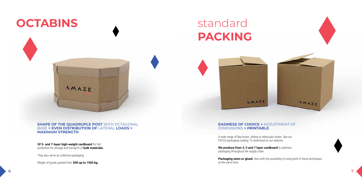### **OCTABINS**

#### **SHAPE OF THE QUADRUPLE POST** WITH OCTAGONAL BASE **= EVEN DISTRIBUTION OF** LATERAL **LOADS = MAXIMUM STRENGTH**

**Of 5- and 7-layer high-weight cardboard** for full protection for storage and transport of **bulk materials.**

They also serve as collective packaging.

Weight of goods packed from **300 up to 1500 kg.**



We produce from 3, 5 and 7 layer cardboard to optimize packaging throughout the supply chain.

#### **EASINESS OF CHOICE +** ADJUSTMENT OF DIMENSIONS **+ PRINTABLE**

**Packaging sewn or glued.** Also with the possibility of using both of these techniques at the same time.





## standard **packing**



A wide range of flap boxes, sliding or telescopic boxes. See our FEFCO packaging catalog. To download on our website.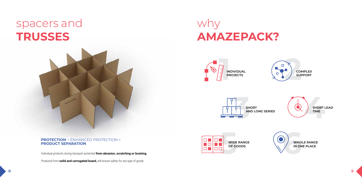

## spacers and **trusses**



#### **PROTECTION** + ENHANCED PROTECTION + **PRODUCT SEPARATION**

Individual products during transport protected **from abrasion, scratching or bruising.**

Produced from **solid and corrugated board,** will ensure safety for any type of goods.

### why **AMAZEPACK?**







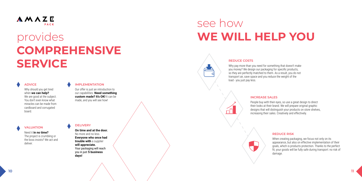### see how provides **WE WILL HELP YOU**





# **comprehensive service**

Why should you get tired when **we can help?** We are good at the subject. You don't even know what miracles can be made from cardboard and corrugated board.

Our offer is just an introduction to our capabilities. **Need something custom made? It's OK!** It can be made, and you will see how!

Why pay more than you need for something that doesn't make you money? We design our packaging for specific products, so they are perfectly matched to them. As a result, you do not transport air, save space and you reduce the weight of the load - you just pay less.

Need it **in no time?** The project is crumbling or the boss insists? We act and deliver.

**On time and at the door.**  No more and no less. **Everyone who once had trouble with** a supplier **will appreciate.** Your packaging will reach you in just **5 business days!**

#### **REDUCE COSTS**

 $\sqrt{ }$ 

#### **ADVICE**

People buy with their eyes, so use a great design to direct their looks at their brand. We will prepare original graphic designs that will distinguish your products on store shelves, increasing their sales. Creatively and effectively.



#### **INCREASE SALES**

 $\bigoplus$ 

#### **IMPLEMENTATION**

When creating packaging, we focus not only on its appearance, but also on effective implementation of their goals, which is products protection. Thanks to the perfect fit, your goods will be fully safe during transport: no risk of damage.

#### **REDUCE RISK**

#### **VALUATION DELIVERY**